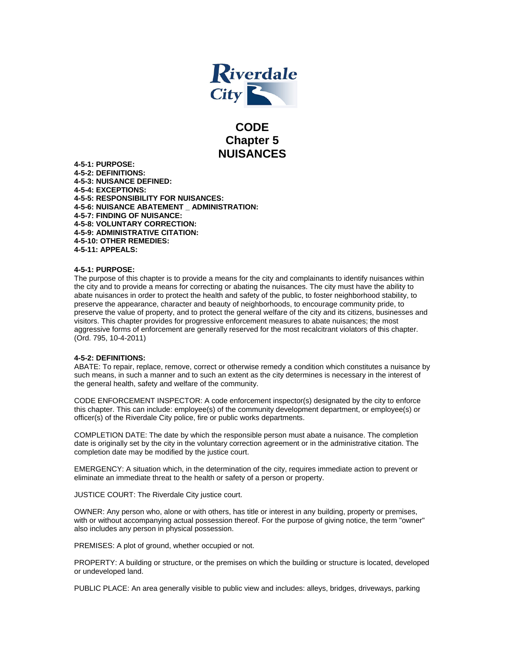

# **CODE Chapter 5 NUISANCES**

**4-5-1: PURPOSE: 4-5-2: DEFINITIONS: 4-5-3: NUISANCE DEFINED: 4-5-4: EXCEPTIONS: 4-5-5: RESPONSIBILITY FOR NUISANCES: 4-5-6: NUISANCE ABATEMENT \_ ADMINISTRATION: 4-5-7: FINDING OF NUISANCE: 4-5-8: VOLUNTARY CORRECTION: 4-5-9: ADMINISTRATIVE CITATION: 4-5-10: OTHER REMEDIES: 4-5-11: APPEALS:** 

## **4-5-1: PURPOSE:**

The purpose of this chapter is to provide a means for the city and complainants to identify nuisances within the city and to provide a means for correcting or abating the nuisances. The city must have the ability to abate nuisances in order to protect the health and safety of the public, to foster neighborhood stability, to preserve the appearance, character and beauty of neighborhoods, to encourage community pride, to preserve the value of property, and to protect the general welfare of the city and its citizens, businesses and visitors. This chapter provides for progressive enforcement measures to abate nuisances; the most aggressive forms of enforcement are generally reserved for the most recalcitrant violators of this chapter. (Ord. 795, 10-4-2011)

#### **4-5-2: DEFINITIONS:**

ABATE: To repair, replace, remove, correct or otherwise remedy a condition which constitutes a nuisance by such means, in such a manner and to such an extent as the city determines is necessary in the interest of the general health, safety and welfare of the community.

CODE ENFORCEMENT INSPECTOR: A code enforcement inspector(s) designated by the city to enforce this chapter. This can include: employee(s) of the community development department, or employee(s) or officer(s) of the Riverdale City police, fire or public works departments.

COMPLETION DATE: The date by which the responsible person must abate a nuisance. The completion date is originally set by the city in the voluntary correction agreement or in the administrative citation. The completion date may be modified by the justice court.

EMERGENCY: A situation which, in the determination of the city, requires immediate action to prevent or eliminate an immediate threat to the health or safety of a person or property.

JUSTICE COURT: The Riverdale City justice court.

OWNER: Any person who, alone or with others, has title or interest in any building, property or premises, with or without accompanying actual possession thereof. For the purpose of giving notice, the term "owner" also includes any person in physical possession.

PREMISES: A plot of ground, whether occupied or not.

PROPERTY: A building or structure, or the premises on which the building or structure is located, developed or undeveloped land.

PUBLIC PLACE: An area generally visible to public view and includes: alleys, bridges, driveways, parking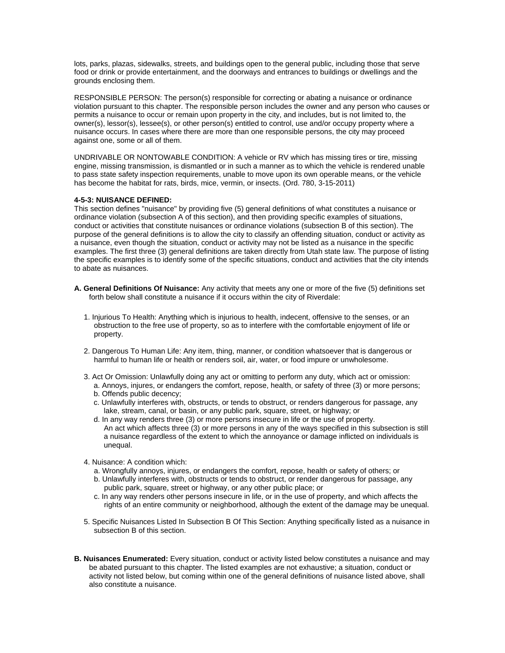lots, parks, plazas, sidewalks, streets, and buildings open to the general public, including those that serve food or drink or provide entertainment, and the doorways and entrances to buildings or dwellings and the grounds enclosing them.

RESPONSIBLE PERSON: The person(s) responsible for correcting or abating a nuisance or ordinance violation pursuant to this chapter. The responsible person includes the owner and any person who causes or permits a nuisance to occur or remain upon property in the city, and includes, but is not limited to, the owner(s), lessor(s), lessee(s), or other person(s) entitled to control, use and/or occupy property where a nuisance occurs. In cases where there are more than one responsible persons, the city may proceed against one, some or all of them.

UNDRIVABLE OR NONTOWABLE CONDITION: A vehicle or RV which has missing tires or tire, missing engine, missing transmission, is dismantled or in such a manner as to which the vehicle is rendered unable to pass state safety inspection requirements, unable to move upon its own operable means, or the vehicle has become the habitat for rats, birds, mice, vermin, or insects. (Ord. 780, 3-15-2011)

#### **4-5-3: NUISANCE DEFINED:**

This section defines "nuisance" by providing five (5) general definitions of what constitutes a nuisance or ordinance violation (subsection A of this section), and then providing specific examples of situations, conduct or activities that constitute nuisances or ordinance violations (subsection B of this section). The purpose of the general definitions is to allow the city to classify an offending situation, conduct or activity as a nuisance, even though the situation, conduct or activity may not be listed as a nuisance in the specific examples. The first three (3) general definitions are taken directly from Utah state law. The purpose of listing the specific examples is to identify some of the specific situations, conduct and activities that the city intends to abate as nuisances.

- **A. General Definitions Of Nuisance:** Any activity that meets any one or more of the five (5) definitions set forth below shall constitute a nuisance if it occurs within the city of Riverdale:
	- 1. Injurious To Health: Anything which is injurious to health, indecent, offensive to the senses, or an obstruction to the free use of property, so as to interfere with the comfortable enjoyment of life or property.
	- 2. Dangerous To Human Life: Any item, thing, manner, or condition whatsoever that is dangerous or harmful to human life or health or renders soil, air, water, or food impure or unwholesome.
	- 3. Act Or Omission: Unlawfully doing any act or omitting to perform any duty, which act or omission:
		- a. Annoys, injures, or endangers the comfort, repose, health, or safety of three (3) or more persons; b. Offends public decency;
		- c. Unlawfully interferes with, obstructs, or tends to obstruct, or renders dangerous for passage, any lake, stream, canal, or basin, or any public park, square, street, or highway; or
		- d. In any way renders three (3) or more persons insecure in life or the use of property. An act which affects three (3) or more persons in any of the ways specified in this subsection is still a nuisance regardless of the extent to which the annoyance or damage inflicted on individuals is unequal.
	- 4. Nuisance: A condition which:
		- a. Wrongfully annoys, injures, or endangers the comfort, repose, health or safety of others; or
		- b. Unlawfully interferes with, obstructs or tends to obstruct, or render dangerous for passage, any public park, square, street or highway, or any other public place; or
		- c. In any way renders other persons insecure in life, or in the use of property, and which affects the rights of an entire community or neighborhood, although the extent of the damage may be unequal.
	- 5. Specific Nuisances Listed In Subsection B Of This Section: Anything specifically listed as a nuisance in subsection B of this section.
- **B. Nuisances Enumerated:** Every situation, conduct or activity listed below constitutes a nuisance and may be abated pursuant to this chapter. The listed examples are not exhaustive; a situation, conduct or activity not listed below, but coming within one of the general definitions of nuisance listed above, shall also constitute a nuisance.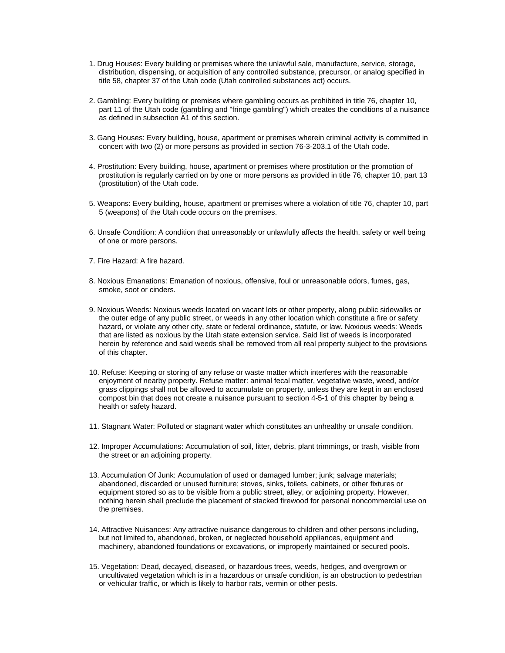- 1. Drug Houses: Every building or premises where the unlawful sale, manufacture, service, storage, distribution, dispensing, or acquisition of any controlled substance, precursor, or analog specified in title 58, chapter 37 of the Utah code (Utah controlled substances act) occurs.
- 2. Gambling: Every building or premises where gambling occurs as prohibited in title 76, chapter 10, part 11 of the Utah code (gambling and "fringe gambling") which creates the conditions of a nuisance as defined in subsection A1 of this section.
- 3. Gang Houses: Every building, house, apartment or premises wherein criminal activity is committed in concert with two (2) or more persons as provided in section 76-3-203.1 of the Utah code.
- 4. Prostitution: Every building, house, apartment or premises where prostitution or the promotion of prostitution is regularly carried on by one or more persons as provided in title 76, chapter 10, part 13 (prostitution) of the Utah code.
- 5. Weapons: Every building, house, apartment or premises where a violation of title 76, chapter 10, part 5 (weapons) of the Utah code occurs on the premises.
- 6. Unsafe Condition: A condition that unreasonably or unlawfully affects the health, safety or well being of one or more persons.
- 7. Fire Hazard: A fire hazard.
- 8. Noxious Emanations: Emanation of noxious, offensive, foul or unreasonable odors, fumes, gas, smoke, soot or cinders.
- 9. Noxious Weeds: Noxious weeds located on vacant lots or other property, along public sidewalks or the outer edge of any public street, or weeds in any other location which constitute a fire or safety hazard, or violate any other city, state or federal ordinance, statute, or law. Noxious weeds: Weeds that are listed as noxious by the Utah state extension service. Said list of weeds is incorporated herein by reference and said weeds shall be removed from all real property subject to the provisions of this chapter.
- 10. Refuse: Keeping or storing of any refuse or waste matter which interferes with the reasonable enjoyment of nearby property. Refuse matter: animal fecal matter, vegetative waste, weed, and/or grass clippings shall not be allowed to accumulate on property, unless they are kept in an enclosed compost bin that does not create a nuisance pursuant to section 4-5-1 of this chapter by being a health or safety hazard.
- 11. Stagnant Water: Polluted or stagnant water which constitutes an unhealthy or unsafe condition.
- 12. Improper Accumulations: Accumulation of soil, litter, debris, plant trimmings, or trash, visible from the street or an adjoining property.
- 13. Accumulation Of Junk: Accumulation of used or damaged lumber; junk; salvage materials; abandoned, discarded or unused furniture; stoves, sinks, toilets, cabinets, or other fixtures or equipment stored so as to be visible from a public street, alley, or adjoining property. However, nothing herein shall preclude the placement of stacked firewood for personal noncommercial use on the premises.
- 14. Attractive Nuisances: Any attractive nuisance dangerous to children and other persons including, but not limited to, abandoned, broken, or neglected household appliances, equipment and machinery, abandoned foundations or excavations, or improperly maintained or secured pools.
- 15. Vegetation: Dead, decayed, diseased, or hazardous trees, weeds, hedges, and overgrown or uncultivated vegetation which is in a hazardous or unsafe condition, is an obstruction to pedestrian or vehicular traffic, or which is likely to harbor rats, vermin or other pests.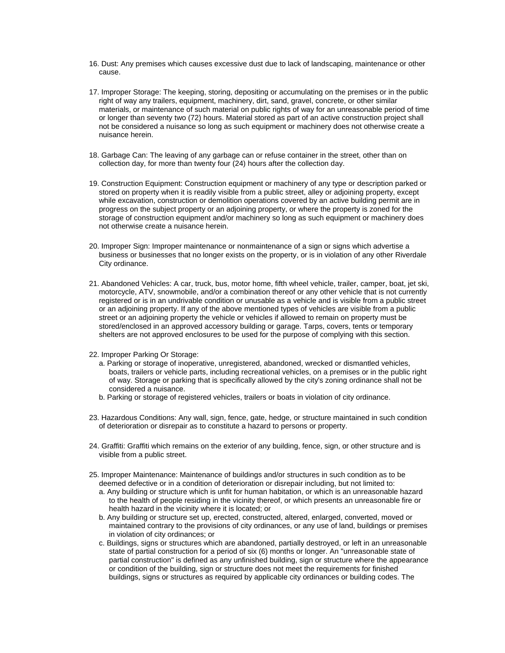- 16. Dust: Any premises which causes excessive dust due to lack of landscaping, maintenance or other cause.
- 17. Improper Storage: The keeping, storing, depositing or accumulating on the premises or in the public right of way any trailers, equipment, machinery, dirt, sand, gravel, concrete, or other similar materials, or maintenance of such material on public rights of way for an unreasonable period of time or longer than seventy two (72) hours. Material stored as part of an active construction project shall not be considered a nuisance so long as such equipment or machinery does not otherwise create a nuisance herein.
- 18. Garbage Can: The leaving of any garbage can or refuse container in the street, other than on collection day, for more than twenty four (24) hours after the collection day.
- 19. Construction Equipment: Construction equipment or machinery of any type or description parked or stored on property when it is readily visible from a public street, alley or adjoining property, except while excavation, construction or demolition operations covered by an active building permit are in progress on the subject property or an adjoining property, or where the property is zoned for the storage of construction equipment and/or machinery so long as such equipment or machinery does not otherwise create a nuisance herein.
- 20. Improper Sign: Improper maintenance or nonmaintenance of a sign or signs which advertise a business or businesses that no longer exists on the property, or is in violation of any other Riverdale City ordinance.
- 21. Abandoned Vehicles: A car, truck, bus, motor home, fifth wheel vehicle, trailer, camper, boat, jet ski, motorcycle, ATV, snowmobile, and/or a combination thereof or any other vehicle that is not currently registered or is in an undrivable condition or unusable as a vehicle and is visible from a public street or an adjoining property. If any of the above mentioned types of vehicles are visible from a public street or an adjoining property the vehicle or vehicles if allowed to remain on property must be stored/enclosed in an approved accessory building or garage. Tarps, covers, tents or temporary shelters are not approved enclosures to be used for the purpose of complying with this section.
- 22. Improper Parking Or Storage:
	- a. Parking or storage of inoperative, unregistered, abandoned, wrecked or dismantled vehicles, boats, trailers or vehicle parts, including recreational vehicles, on a premises or in the public right of way. Storage or parking that is specifically allowed by the city's zoning ordinance shall not be considered a nuisance.
	- b. Parking or storage of registered vehicles, trailers or boats in violation of city ordinance.
- 23. Hazardous Conditions: Any wall, sign, fence, gate, hedge, or structure maintained in such condition of deterioration or disrepair as to constitute a hazard to persons or property.
- 24. Graffiti: Graffiti which remains on the exterior of any building, fence, sign, or other structure and is visible from a public street.
- 25. Improper Maintenance: Maintenance of buildings and/or structures in such condition as to be deemed defective or in a condition of deterioration or disrepair including, but not limited to:
	- a. Any building or structure which is unfit for human habitation, or which is an unreasonable hazard to the health of people residing in the vicinity thereof, or which presents an unreasonable fire or health hazard in the vicinity where it is located; or
	- b. Any building or structure set up, erected, constructed, altered, enlarged, converted, moved or maintained contrary to the provisions of city ordinances, or any use of land, buildings or premises in violation of city ordinances; or
	- c. Buildings, signs or structures which are abandoned, partially destroyed, or left in an unreasonable state of partial construction for a period of six (6) months or longer. An "unreasonable state of partial construction" is defined as any unfinished building, sign or structure where the appearance or condition of the building, sign or structure does not meet the requirements for finished buildings, signs or structures as required by applicable city ordinances or building codes. The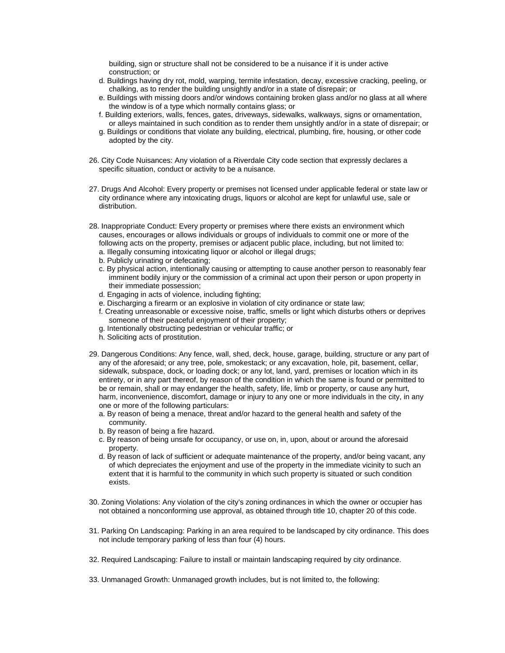building, sign or structure shall not be considered to be a nuisance if it is under active construction; or

- d. Buildings having dry rot, mold, warping, termite infestation, decay, excessive cracking, peeling, or chalking, as to render the building unsightly and/or in a state of disrepair; or
- e. Buildings with missing doors and/or windows containing broken glass and/or no glass at all where the window is of a type which normally contains glass; or
- f. Building exteriors, walls, fences, gates, driveways, sidewalks, walkways, signs or ornamentation, or alleys maintained in such condition as to render them unsightly and/or in a state of disrepair; or
- g. Buildings or conditions that violate any building, electrical, plumbing, fire, housing, or other code adopted by the city.
- 26. City Code Nuisances: Any violation of a Riverdale City code section that expressly declares a specific situation, conduct or activity to be a nuisance.
- 27. Drugs And Alcohol: Every property or premises not licensed under applicable federal or state law or city ordinance where any intoxicating drugs, liquors or alcohol are kept for unlawful use, sale or distribution.
- 28. Inappropriate Conduct: Every property or premises where there exists an environment which causes, encourages or allows individuals or groups of individuals to commit one or more of the following acts on the property, premises or adjacent public place, including, but not limited to:
	- a. Illegally consuming intoxicating liquor or alcohol or illegal drugs;
	- b. Publicly urinating or defecating;
	- c. By physical action, intentionally causing or attempting to cause another person to reasonably fear imminent bodily injury or the commission of a criminal act upon their person or upon property in their immediate possession;
	- d. Engaging in acts of violence, including fighting;
	- e. Discharging a firearm or an explosive in violation of city ordinance or state law;
	- f. Creating unreasonable or excessive noise, traffic, smells or light which disturbs others or deprives someone of their peaceful enjoyment of their property;
	- g. Intentionally obstructing pedestrian or vehicular traffic; or
	- h. Soliciting acts of prostitution.
- 29. Dangerous Conditions: Any fence, wall, shed, deck, house, garage, building, structure or any part of any of the aforesaid; or any tree, pole, smokestack; or any excavation, hole, pit, basement, cellar, sidewalk, subspace, dock, or loading dock; or any lot, land, yard, premises or location which in its entirety, or in any part thereof, by reason of the condition in which the same is found or permitted to be or remain, shall or may endanger the health, safety, life, limb or property, or cause any hurt, harm, inconvenience, discomfort, damage or injury to any one or more individuals in the city, in any one or more of the following particulars:
	- a. By reason of being a menace, threat and/or hazard to the general health and safety of the community.
	- b. By reason of being a fire hazard.
	- c. By reason of being unsafe for occupancy, or use on, in, upon, about or around the aforesaid property.
	- d. By reason of lack of sufficient or adequate maintenance of the property, and/or being vacant, any of which depreciates the enjoyment and use of the property in the immediate vicinity to such an extent that it is harmful to the community in which such property is situated or such condition exists.
- 30. Zoning Violations: Any violation of the city's zoning ordinances in which the owner or occupier has not obtained a nonconforming use approval, as obtained through title 10, chapter 20 of this code.
- 31. Parking On Landscaping: Parking in an area required to be landscaped by city ordinance. This does not include temporary parking of less than four (4) hours.
- 32. Required Landscaping: Failure to install or maintain landscaping required by city ordinance.
- 33. Unmanaged Growth: Unmanaged growth includes, but is not limited to, the following: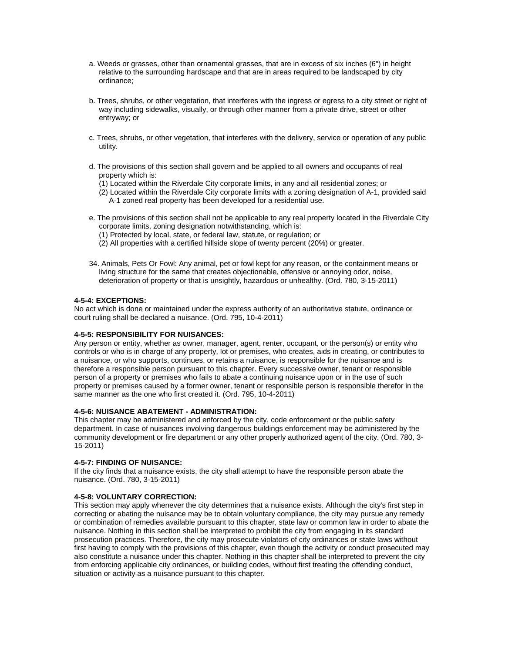- a. Weeds or grasses, other than ornamental grasses, that are in excess of six inches (6") in height relative to the surrounding hardscape and that are in areas required to be landscaped by city ordinance;
- b. Trees, shrubs, or other vegetation, that interferes with the ingress or egress to a city street or right of way including sidewalks, visually, or through other manner from a private drive, street or other entryway; or
- c. Trees, shrubs, or other vegetation, that interferes with the delivery, service or operation of any public utility.
- d. The provisions of this section shall govern and be applied to all owners and occupants of real property which is:
	- (1) Located within the Riverdale City corporate limits, in any and all residential zones; or
	- (2) Located within the Riverdale City corporate limits with a zoning designation of A-1, provided said A-1 zoned real property has been developed for a residential use.
- e. The provisions of this section shall not be applicable to any real property located in the Riverdale City corporate limits, zoning designation notwithstanding, which is:
	- (1) Protected by local, state, or federal law, statute, or regulation; or
	- (2) All properties with a certified hillside slope of twenty percent (20%) or greater.
- 34. Animals, Pets Or Fowl: Any animal, pet or fowl kept for any reason, or the containment means or living structure for the same that creates objectionable, offensive or annoying odor, noise, deterioration of property or that is unsightly, hazardous or unhealthy. (Ord. 780, 3-15-2011)

#### **4-5-4: EXCEPTIONS:**

No act which is done or maintained under the express authority of an authoritative statute, ordinance or court ruling shall be declared a nuisance. (Ord. 795, 10-4-2011)

## **4-5-5: RESPONSIBILITY FOR NUISANCES:**

Any person or entity, whether as owner, manager, agent, renter, occupant, or the person(s) or entity who controls or who is in charge of any property, lot or premises, who creates, aids in creating, or contributes to a nuisance, or who supports, continues, or retains a nuisance, is responsible for the nuisance and is therefore a responsible person pursuant to this chapter. Every successive owner, tenant or responsible person of a property or premises who fails to abate a continuing nuisance upon or in the use of such property or premises caused by a former owner, tenant or responsible person is responsible therefor in the same manner as the one who first created it. (Ord. 795, 10-4-2011)

## **4-5-6: NUISANCE ABATEMENT - ADMINISTRATION:**

This chapter may be administered and enforced by the city, code enforcement or the public safety department. In case of nuisances involving dangerous buildings enforcement may be administered by the community development or fire department or any other properly authorized agent of the city. (Ord. 780, 3- 15-2011)

## **4-5-7: FINDING OF NUISANCE:**

If the city finds that a nuisance exists, the city shall attempt to have the responsible person abate the nuisance. (Ord. 780, 3-15-2011)

## **4-5-8: VOLUNTARY CORRECTION:**

This section may apply whenever the city determines that a nuisance exists. Although the city's first step in correcting or abating the nuisance may be to obtain voluntary compliance, the city may pursue any remedy or combination of remedies available pursuant to this chapter, state law or common law in order to abate the nuisance. Nothing in this section shall be interpreted to prohibit the city from engaging in its standard prosecution practices. Therefore, the city may prosecute violators of city ordinances or state laws without first having to comply with the provisions of this chapter, even though the activity or conduct prosecuted may also constitute a nuisance under this chapter. Nothing in this chapter shall be interpreted to prevent the city from enforcing applicable city ordinances, or building codes, without first treating the offending conduct, situation or activity as a nuisance pursuant to this chapter.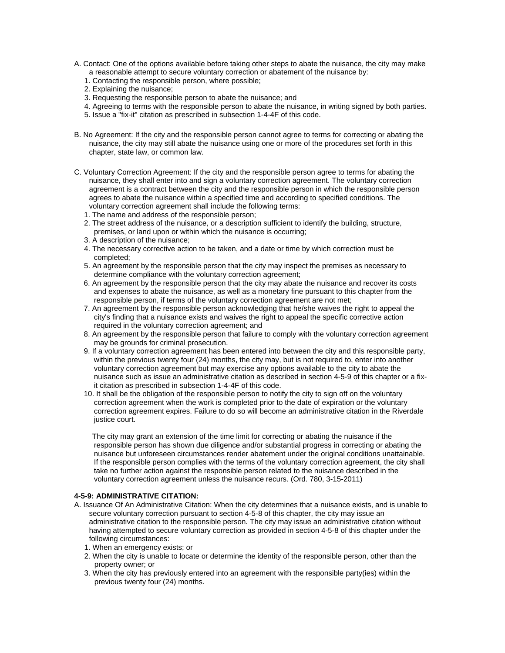- A. Contact: One of the options available before taking other steps to abate the nuisance, the city may make a reasonable attempt to secure voluntary correction or abatement of the nuisance by:
	- 1. Contacting the responsible person, where possible;
	- 2. Explaining the nuisance;
	- 3. Requesting the responsible person to abate the nuisance; and
	- 4. Agreeing to terms with the responsible person to abate the nuisance, in writing signed by both parties.
	- 5. Issue a "fix-it" citation as prescribed in subsection 1-4-4F of this code.
- B. No Agreement: If the city and the responsible person cannot agree to terms for correcting or abating the nuisance, the city may still abate the nuisance using one or more of the procedures set forth in this chapter, state law, or common law.
- C. Voluntary Correction Agreement: If the city and the responsible person agree to terms for abating the nuisance, they shall enter into and sign a voluntary correction agreement. The voluntary correction agreement is a contract between the city and the responsible person in which the responsible person agrees to abate the nuisance within a specified time and according to specified conditions. The voluntary correction agreement shall include the following terms:
	- 1. The name and address of the responsible person;
	- 2. The street address of the nuisance, or a description sufficient to identify the building, structure, premises, or land upon or within which the nuisance is occurring;
	- 3. A description of the nuisance;
	- 4. The necessary corrective action to be taken, and a date or time by which correction must be completed;
	- 5. An agreement by the responsible person that the city may inspect the premises as necessary to determine compliance with the voluntary correction agreement;
	- 6. An agreement by the responsible person that the city may abate the nuisance and recover its costs and expenses to abate the nuisance, as well as a monetary fine pursuant to this chapter from the responsible person, if terms of the voluntary correction agreement are not met;
	- 7. An agreement by the responsible person acknowledging that he/she waives the right to appeal the city's finding that a nuisance exists and waives the right to appeal the specific corrective action required in the voluntary correction agreement; and
	- 8. An agreement by the responsible person that failure to comply with the voluntary correction agreement may be grounds for criminal prosecution.
	- 9. If a voluntary correction agreement has been entered into between the city and this responsible party, within the previous twenty four (24) months, the city may, but is not required to, enter into another voluntary correction agreement but may exercise any options available to the city to abate the nuisance such as issue an administrative citation as described in section 4-5-9 of this chapter or a fixit citation as prescribed in subsection 1-4-4F of this code.
	- 10. It shall be the obligation of the responsible person to notify the city to sign off on the voluntary correction agreement when the work is completed prior to the date of expiration or the voluntary correction agreement expires. Failure to do so will become an administrative citation in the Riverdale justice court.

 The city may grant an extension of the time limit for correcting or abating the nuisance if the responsible person has shown due diligence and/or substantial progress in correcting or abating the nuisance but unforeseen circumstances render abatement under the original conditions unattainable. If the responsible person complies with the terms of the voluntary correction agreement, the city shall take no further action against the responsible person related to the nuisance described in the voluntary correction agreement unless the nuisance recurs. (Ord. 780, 3-15-2011)

## **4-5-9: ADMINISTRATIVE CITATION:**

- A. Issuance Of An Administrative Citation: When the city determines that a nuisance exists, and is unable to secure voluntary correction pursuant to section 4-5-8 of this chapter, the city may issue an administrative citation to the responsible person. The city may issue an administrative citation without having attempted to secure voluntary correction as provided in section 4-5-8 of this chapter under the following circumstances:
	- 1. When an emergency exists; or
	- 2. When the city is unable to locate or determine the identity of the responsible person, other than the property owner; or
	- 3. When the city has previously entered into an agreement with the responsible party(ies) within the previous twenty four (24) months.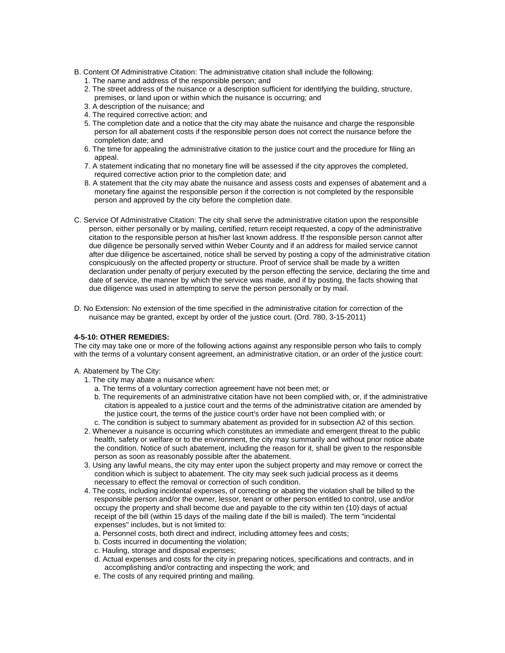- B. Content Of Administrative Citation: The administrative citation shall include the following:
	- 1. The name and address of the responsible person; and
	- 2. The street address of the nuisance or a description sufficient for identifying the building, structure, premises, or land upon or within which the nuisance is occurring; and
	- 3. A description of the nuisance; and
	- 4. The required corrective action; and
	- 5. The completion date and a notice that the city may abate the nuisance and charge the responsible person for all abatement costs if the responsible person does not correct the nuisance before the completion date; and
	- 6. The time for appealing the administrative citation to the justice court and the procedure for filing an appeal.
	- 7. A statement indicating that no monetary fine will be assessed if the city approves the completed, required corrective action prior to the completion date; and
	- 8. A statement that the city may abate the nuisance and assess costs and expenses of abatement and a monetary fine against the responsible person if the correction is not completed by the responsible person and approved by the city before the completion date.
- C. Service Of Administrative Citation: The city shall serve the administrative citation upon the responsible person, either personally or by mailing, certified, return receipt requested, a copy of the administrative citation to the responsible person at his/her last known address. If the responsible person cannot after due diligence be personally served within Weber County and if an address for mailed service cannot after due diligence be ascertained, notice shall be served by posting a copy of the administrative citation conspicuously on the affected property or structure. Proof of service shall be made by a written declaration under penalty of perjury executed by the person effecting the service, declaring the time and date of service, the manner by which the service was made, and if by posting, the facts showing that due diligence was used in attempting to serve the person personally or by mail.
- D. No Extension: No extension of the time specified in the administrative citation for correction of the nuisance may be granted, except by order of the justice court. (Ord. 780, 3-15-2011)

## **4-5-10: OTHER REMEDIES:**

The city may take one or more of the following actions against any responsible person who fails to comply with the terms of a voluntary consent agreement, an administrative citation, or an order of the justice court:

## A. Abatement by The City:

- 1. The city may abate a nuisance when:
	- a. The terms of a voluntary correction agreement have not been met; or
	- b. The requirements of an administrative citation have not been complied with, or, if the administrative citation is appealed to a justice court and the terms of the administrative citation are amended by the justice court, the terms of the justice court's order have not been complied with; or
- c. The condition is subject to summary abatement as provided for in subsection A2 of this section.
- 2. Whenever a nuisance is occurring which constitutes an immediate and emergent threat to the public health, safety or welfare or to the environment, the city may summarily and without prior notice abate the condition. Notice of such abatement, including the reason for it, shall be given to the responsible person as soon as reasonably possible after the abatement.
- 3. Using any lawful means, the city may enter upon the subject property and may remove or correct the condition which is subject to abatement. The city may seek such judicial process as it deems necessary to effect the removal or correction of such condition.
- 4. The costs, including incidental expenses, of correcting or abating the violation shall be billed to the responsible person and/or the owner, lessor, tenant or other person entitled to control, use and/or occupy the property and shall become due and payable to the city within ten (10) days of actual receipt of the bill (within 15 days of the mailing date if the bill is mailed). The term "incidental expenses" includes, but is not limited to:
	- a. Personnel costs, both direct and indirect, including attorney fees and costs;
	- b. Costs incurred in documenting the violation;
	- c. Hauling, storage and disposal expenses;
	- d. Actual expenses and costs for the city in preparing notices, specifications and contracts, and in accomplishing and/or contracting and inspecting the work; and
	- e. The costs of any required printing and mailing.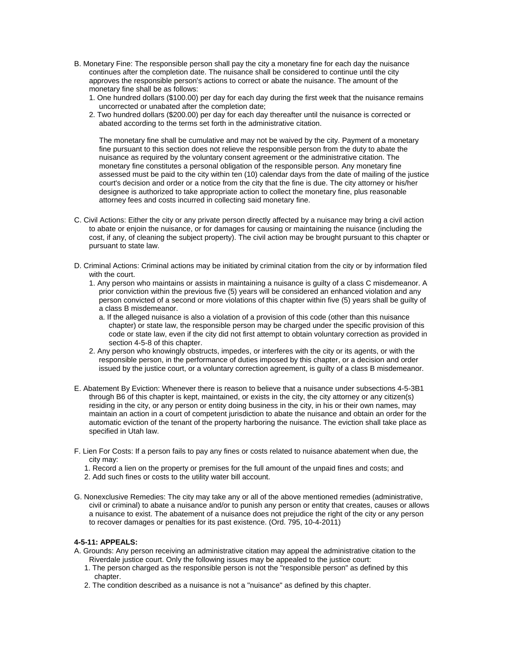- B. Monetary Fine: The responsible person shall pay the city a monetary fine for each day the nuisance continues after the completion date. The nuisance shall be considered to continue until the city approves the responsible person's actions to correct or abate the nuisance. The amount of the monetary fine shall be as follows:
	- 1. One hundred dollars (\$100.00) per day for each day during the first week that the nuisance remains uncorrected or unabated after the completion date;
	- 2. Two hundred dollars (\$200.00) per day for each day thereafter until the nuisance is corrected or abated according to the terms set forth in the administrative citation.

The monetary fine shall be cumulative and may not be waived by the city. Payment of a monetary fine pursuant to this section does not relieve the responsible person from the duty to abate the nuisance as required by the voluntary consent agreement or the administrative citation. The monetary fine constitutes a personal obligation of the responsible person. Any monetary fine assessed must be paid to the city within ten (10) calendar days from the date of mailing of the justice court's decision and order or a notice from the city that the fine is due. The city attorney or his/her designee is authorized to take appropriate action to collect the monetary fine, plus reasonable attorney fees and costs incurred in collecting said monetary fine.

- C. Civil Actions: Either the city or any private person directly affected by a nuisance may bring a civil action to abate or enjoin the nuisance, or for damages for causing or maintaining the nuisance (including the cost, if any, of cleaning the subject property). The civil action may be brought pursuant to this chapter or pursuant to state law.
- D. Criminal Actions: Criminal actions may be initiated by criminal citation from the city or by information filed with the court.
	- 1. Any person who maintains or assists in maintaining a nuisance is guilty of a class C misdemeanor. A prior conviction within the previous five (5) years will be considered an enhanced violation and any person convicted of a second or more violations of this chapter within five (5) years shall be guilty of a class B misdemeanor.
		- a. If the alleged nuisance is also a violation of a provision of this code (other than this nuisance chapter) or state law, the responsible person may be charged under the specific provision of this code or state law, even if the city did not first attempt to obtain voluntary correction as provided in section 4-5-8 of this chapter.
	- 2. Any person who knowingly obstructs, impedes, or interferes with the city or its agents, or with the responsible person, in the performance of duties imposed by this chapter, or a decision and order issued by the justice court, or a voluntary correction agreement, is guilty of a class B misdemeanor.
- E. Abatement By Eviction: Whenever there is reason to believe that a nuisance under subsections 4-5-3B1 through B6 of this chapter is kept, maintained, or exists in the city, the city attorney or any citizen(s) residing in the city, or any person or entity doing business in the city, in his or their own names, may maintain an action in a court of competent jurisdiction to abate the nuisance and obtain an order for the automatic eviction of the tenant of the property harboring the nuisance. The eviction shall take place as specified in Utah law.
- F. Lien For Costs: If a person fails to pay any fines or costs related to nuisance abatement when due, the city may:
	- 1. Record a lien on the property or premises for the full amount of the unpaid fines and costs; and
	- 2. Add such fines or costs to the utility water bill account.
- G. Nonexclusive Remedies: The city may take any or all of the above mentioned remedies (administrative, civil or criminal) to abate a nuisance and/or to punish any person or entity that creates, causes or allows a nuisance to exist. The abatement of a nuisance does not prejudice the right of the city or any person to recover damages or penalties for its past existence. (Ord. 795, 10-4-2011)

## **4-5-11: APPEALS:**

- A. Grounds: Any person receiving an administrative citation may appeal the administrative citation to the Riverdale justice court. Only the following issues may be appealed to the justice court:
	- 1. The person charged as the responsible person is not the "responsible person" as defined by this chapter.
	- 2. The condition described as a nuisance is not a "nuisance" as defined by this chapter.